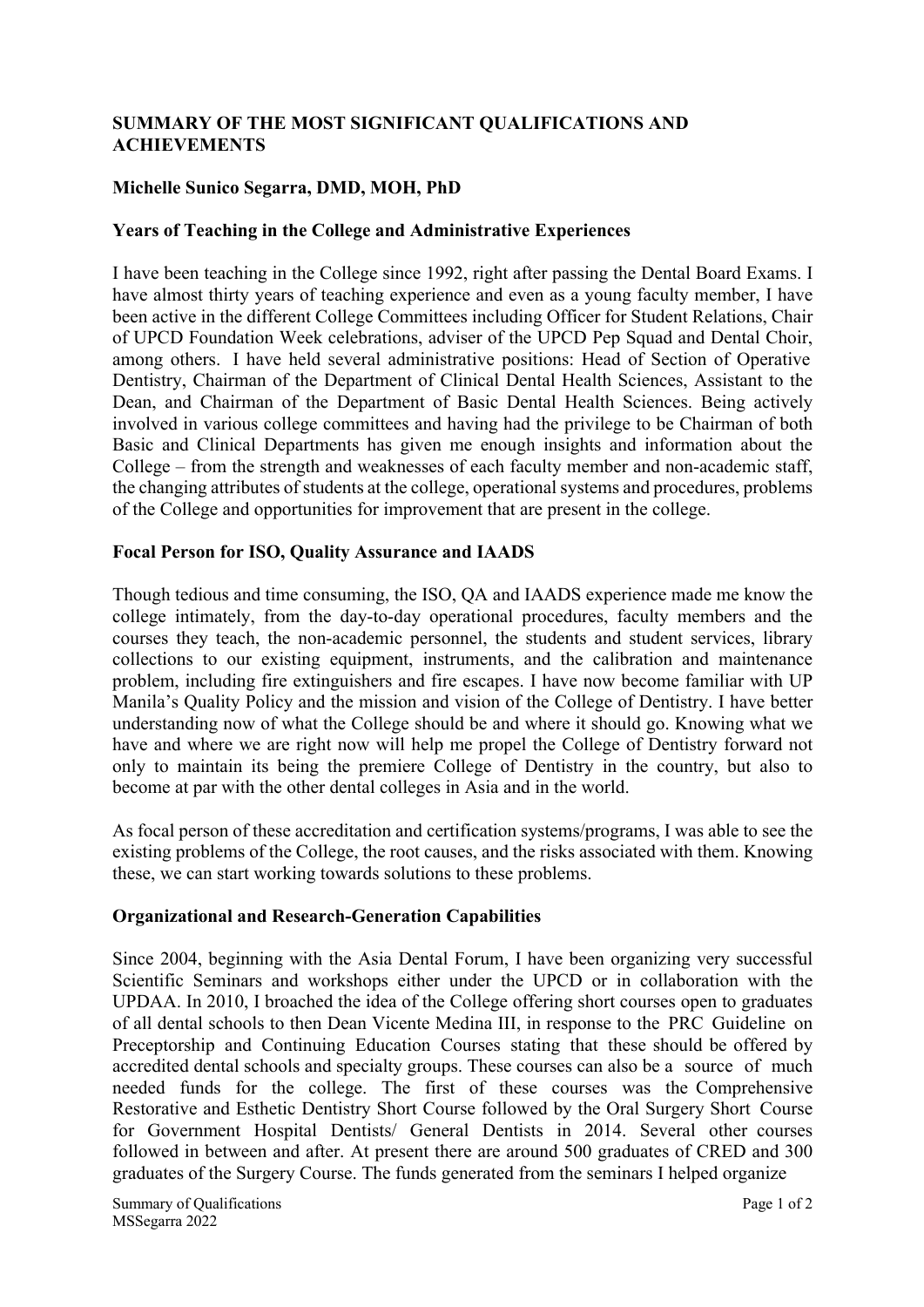# **SUMMARY OF THE MOST SIGNIFICANT QUALIFICATIONS AND ACHIEVEMENTS**

### **Michelle Sunico Segarra, DMD, MOH, PhD**

#### **Years of Teaching in the College and Administrative Experiences**

I have been teaching in the College since 1992, right after passing the Dental Board Exams. I have almost thirty years of teaching experience and even as a young faculty member, I have been active in the different College Committees including Officer for Student Relations, Chair of UPCD Foundation Week celebrations, adviser of the UPCD Pep Squad and Dental Choir, among others. I have held several administrative positions: Head of Section of Operative Dentistry, Chairman of the Department of Clinical Dental Health Sciences, Assistant to the Dean, and Chairman of the Department of Basic Dental Health Sciences. Being actively involved in various college committees and having had the privilege to be Chairman of both Basic and Clinical Departments has given me enough insights and information about the College – from the strength and weaknesses of each faculty member and non-academic staff, the changing attributes of students at the college, operational systems and procedures, problems of the College and opportunities for improvement that are present in the college.

#### **Focal Person for ISO, Quality Assurance and IAADS**

Though tedious and time consuming, the ISO, QA and IAADS experience made me know the college intimately, from the day-to-day operational procedures, faculty members and the courses they teach, the non-academic personnel, the students and student services, library collections to our existing equipment, instruments, and the calibration and maintenance problem, including fire extinguishers and fire escapes. I have now become familiar with UP Manila's Quality Policy and the mission and vision of the College of Dentistry. I have better understanding now of what the College should be and where it should go. Knowing what we have and where we are right now will help me propel the College of Dentistry forward not only to maintain its being the premiere College of Dentistry in the country, but also to become at par with the other dental colleges in Asia and in the world.

As focal person of these accreditation and certification systems/programs, I was able to see the existing problems of the College, the root causes, and the risks associated with them. Knowing these, we can start working towards solutions to these problems.

# **Organizational and Research-Generation Capabilities**

Since 2004, beginning with the Asia Dental Forum, I have been organizing very successful Scientific Seminars and workshops either under the UPCD or in collaboration with the UPDAA. In 2010, I broached the idea of the College offering short courses open to graduates of all dental schools to then Dean Vicente Medina III, in response to the PRC Guideline on Preceptorship and Continuing Education Courses stating that these should be offered by accredited dental schools and specialty groups. These courses can also be a source of much needed funds for the college. The first of these courses was the Comprehensive Restorative and Esthetic Dentistry Short Course followed by the Oral Surgery Short Course for Government Hospital Dentists/ General Dentists in 2014. Several other courses followed in between and after. At present there are around 500 graduates of CRED and 300 graduates of the Surgery Course. The funds generated from the seminars I helped organize